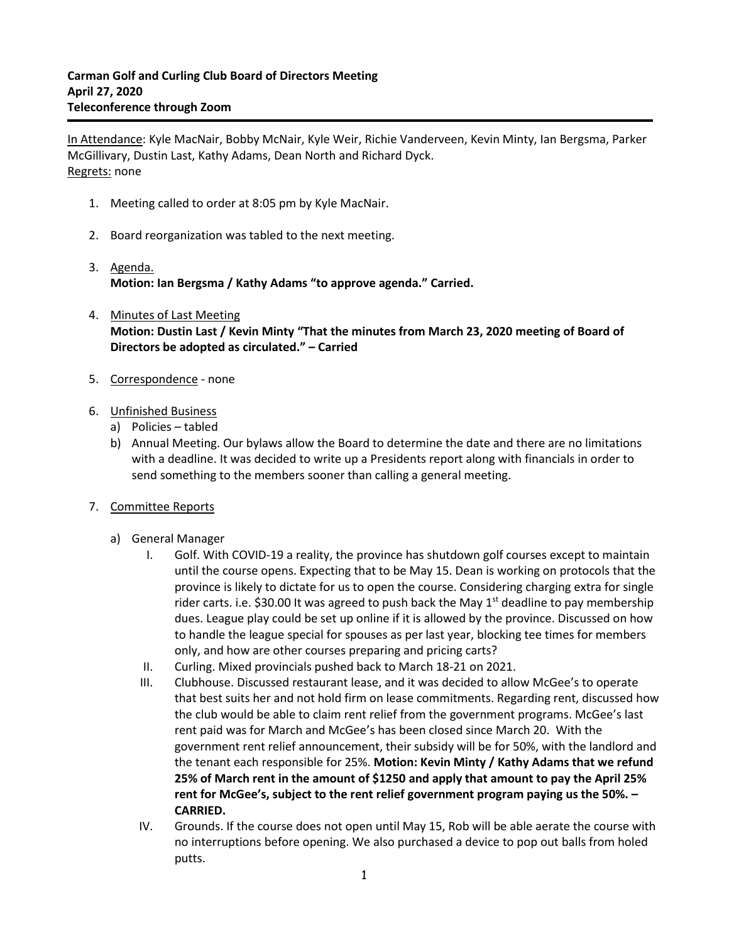In Attendance: Kyle MacNair, Bobby McNair, Kyle Weir, Richie Vanderveen, Kevin Minty, Ian Bergsma, Parker McGillivary, Dustin Last, Kathy Adams, Dean North and Richard Dyck. Regrets: none

- 1. Meeting called to order at 8:05 pm by Kyle MacNair.
- 2. Board reorganization was tabled to the next meeting.
- 3. Agenda. **Motion: Ian Bergsma / Kathy Adams "to approve agenda." Carried.**
- 4. Minutes of Last Meeting **Motion: Dustin Last / Kevin Minty "That the minutes from March 23, 2020 meeting of Board of Directors be adopted as circulated." – Carried**
- 5. Correspondence none
- 6. Unfinished Business
	- a) Policies tabled
	- b) Annual Meeting. Our bylaws allow the Board to determine the date and there are no limitations with a deadline. It was decided to write up a Presidents report along with financials in order to send something to the members sooner than calling a general meeting.
- 7. Committee Reports
	- a) General Manager
		- I. Golf. With COVID-19 a reality, the province has shutdown golf courses except to maintain until the course opens. Expecting that to be May 15. Dean is working on protocols that the province is likely to dictate for us to open the course. Considering charging extra for single rider carts. i.e. \$30.00 It was agreed to push back the May  $1<sup>st</sup>$  deadline to pay membership dues. League play could be set up online if it is allowed by the province. Discussed on how to handle the league special for spouses as per last year, blocking tee times for members only, and how are other courses preparing and pricing carts?
		- II. Curling. Mixed provincials pushed back to March 18-21 on 2021.
		- III. Clubhouse. Discussed restaurant lease, and it was decided to allow McGee's to operate that best suits her and not hold firm on lease commitments. Regarding rent, discussed how the club would be able to claim rent relief from the government programs. McGee's last rent paid was for March and McGee's has been closed since March 20. With the government rent relief announcement, their subsidy will be for 50%, with the landlord and the tenant each responsible for 25%. **Motion: Kevin Minty / Kathy Adams that we refund 25% of March rent in the amount of \$1250 and apply that amount to pay the April 25% rent for McGee's, subject to the rent relief government program paying us the 50%. – CARRIED.**
		- IV. Grounds. If the course does not open until May 15, Rob will be able aerate the course with no interruptions before opening. We also purchased a device to pop out balls from holed putts.